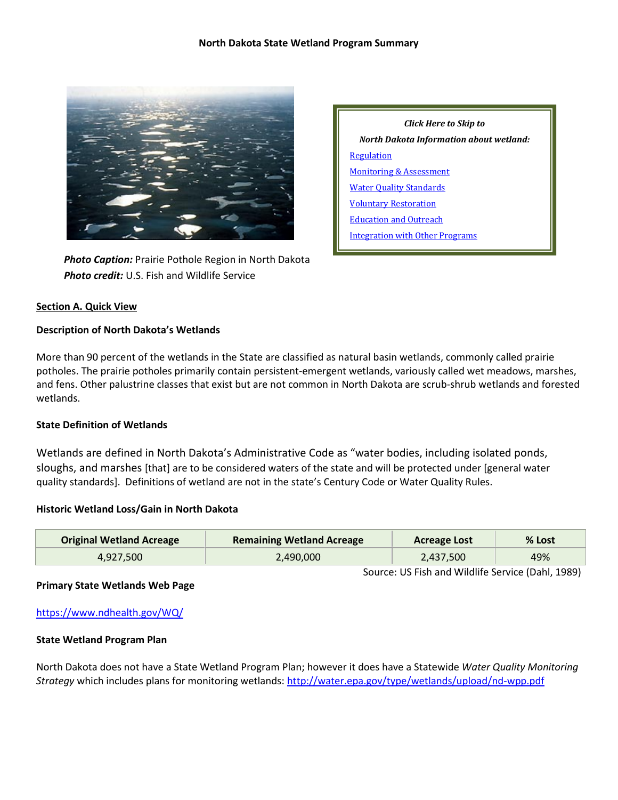

 *Photo Caption:* Prairie Pothole Region in North Dakota  *Photo credit:* U.S. Fish and Wildlife Service

# **Section A. Quick View**

### **Description of North Dakota's Wetlands**

More than 90 percent of the wetlands in the State are classified as natural basin wetlands, commonly called prairie potholes. The prairie potholes primarily contain persistent-emergent wetlands, variously called wet meadows, marshes, and fens. Other palustrine classes that exist but are not common in North Dakota are scrub-shrub wetlands and forested wetlands.

## **State Definition of Wetlands**

Wetlands are defined in North Dakota's Administrative Code as "water bodies, including isolated ponds, sloughs, and marshes [that] are to be considered waters of the state and will be protected under [general water quality standards]. Definitions of wetland are not in the state's Century Code or Water Quality Rules.

#### **Historic Wetland Loss/Gain in North Dakota**

| <b>Original Wetland Acreage</b> | <b>Remaining Wetland Acreage</b> | <b>Acreage Lost</b> | % Lost |
|---------------------------------|----------------------------------|---------------------|--------|
| 4,927,500                       | 2,490,000                        | 2,437,500           | 49%    |

Source: US Fish and Wildlife Service (Dahl, 1989)

# **Primary State Wetlands Web Page**

<https://www.ndhealth.gov/WQ/>

#### **State Wetland Program Plan**

North Dakota does not have a State Wetland Program Plan; however it does have a Statewide *Water Quality Monitoring Strategy* which includes plans for monitoring wetlands:<http://water.epa.gov/type/wetlands/upload/nd-wpp.pdf>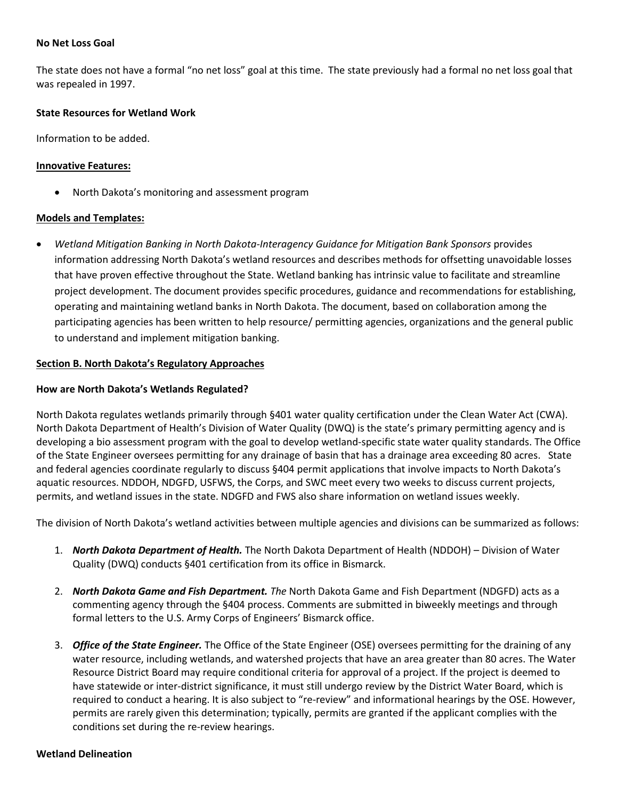### **No Net Loss Goal**

The state does not have a formal "no net loss" goal at this time. The state previously had a formal no net loss goal that was repealed in 1997.

### **State Resources for Wetland Work**

Information to be added.

### **Innovative Features:**

• North Dakota's monitoring and assessment program

### **Models and Templates:**

• *Wetland Mitigation Banking in North Dakota-Interagency Guidance for Mitigation Bank Sponsors* provides information addressing North Dakota's wetland resources and describes methods for offsetting unavoidable losses that have proven effective throughout the State. Wetland banking has intrinsic value to facilitate and streamline project development. The document provides specific procedures, guidance and recommendations for establishing, operating and maintaining wetland banks in North Dakota. The document, based on collaboration among the participating agencies has been written to help resource/ permitting agencies, organizations and the general public to understand and implement mitigation banking.

### <span id="page-1-0"></span>**Section B. North Dakota's Regulatory Approaches**

### **How are North Dakota's Wetlands Regulated?**

North Dakota regulates wetlands primarily through §401 water quality certification under the Clean Water Act (CWA). North Dakota Department of Health's Division of Water Quality (DWQ) is the state's primary permitting agency and is developing a bio assessment program with the goal to develop wetland-specific state water quality standards. The Office of the State Engineer oversees permitting for any drainage of basin that has a drainage area exceeding 80 acres. State and federal agencies coordinate regularly to discuss §404 permit applications that involve impacts to North Dakota's aquatic resources. NDDOH, NDGFD, USFWS, the Corps, and SWC meet every two weeks to discuss current projects, permits, and wetland issues in the state. NDGFD and FWS also share information on wetland issues weekly.

The division of North Dakota's wetland activities between multiple agencies and divisions can be summarized as follows:

- 1. *North Dakota Department of Health.* The North Dakota Department of Health (NDDOH) Division of Water Quality (DWQ) conducts §401 certification from its office in Bismarck.
- 2. *North Dakota Game and Fish Department. The* North Dakota Game and Fish Department (NDGFD) acts as a commenting agency through the §404 process. Comments are submitted in biweekly meetings and through formal letters to the U.S. Army Corps of Engineers' Bismarck office.
- 3. *Office of the State Engineer.* The Office of the State Engineer (OSE) oversees permitting for the draining of any water resource, including wetlands, and watershed projects that have an area greater than 80 acres. The Water Resource District Board may require conditional criteria for approval of a project. If the project is deemed to have statewide or inter-district significance, it must still undergo review by the District Water Board, which is required to conduct a hearing. It is also subject to "re-review" and informational hearings by the OSE. However, permits are rarely given this determination; typically, permits are granted if the applicant complies with the conditions set during the re-review hearings.

#### **Wetland Delineation**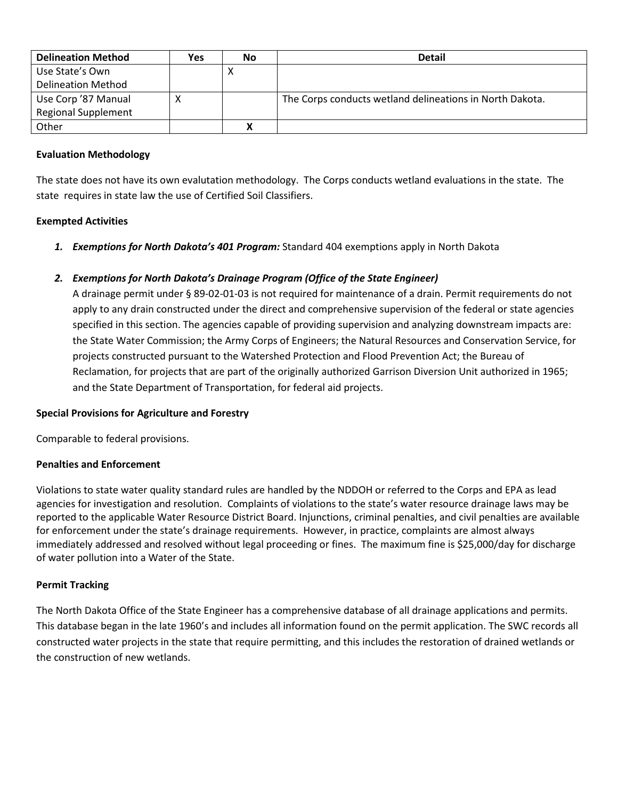| <b>Delineation Method</b>  | Yes        | No | <b>Detail</b>                                            |
|----------------------------|------------|----|----------------------------------------------------------|
| Use State's Own            |            |    |                                                          |
| <b>Delineation Method</b>  |            |    |                                                          |
| Use Corp '87 Manual        | $\sqrt{ }$ |    | The Corps conducts wetland delineations in North Dakota. |
| <b>Regional Supplement</b> |            |    |                                                          |
| Other                      |            |    |                                                          |

## **Evaluation Methodology**

The state does not have its own evalutation methodology. The Corps conducts wetland evaluations in the state. The state requires in state law the use of Certified Soil Classifiers.

# **Exempted Activities**

*1. Exemptions for North Dakota's 401 Program:* Standard 404 exemptions apply in North Dakota

# *2. Exemptions for North Dakota's Drainage Program (Office of the State Engineer)*

A drainage permit under § 89-02-01-03 is not required for maintenance of a drain. Permit requirements do not apply to any drain constructed under the direct and comprehensive supervision of the federal or state agencies specified in this section. The agencies capable of providing supervision and analyzing downstream impacts are: the State Water Commission; the Army Corps of Engineers; the Natural Resources and Conservation Service, for projects constructed pursuant to the Watershed Protection and Flood Prevention Act; the Bureau of Reclamation, for projects that are part of the originally authorized Garrison Diversion Unit authorized in 1965; and the State Department of Transportation, for federal aid projects.

# **Special Provisions for Agriculture and Forestry**

Comparable to federal provisions.

## **Penalties and Enforcement**

Violations to state water quality standard rules are handled by the NDDOH or referred to the Corps and EPA as lead agencies for investigation and resolution. Complaints of violations to the state's water resource drainage laws may be reported to the applicable Water Resource District Board. Injunctions, criminal penalties, and civil penalties are available for enforcement under the state's drainage requirements. However, in practice, complaints are almost always immediately addressed and resolved without legal proceeding or fines. The maximum fine is \$25,000/day for discharge of water pollution into a Water of the State.

## **Permit Tracking**

The North Dakota Office of the State Engineer has a comprehensive database of all drainage applications and permits. This database began in the late 1960's and includes all information found on the permit application. The SWC records all constructed water projects in the state that require permitting, and this includes the restoration of drained wetlands or the construction of new wetlands.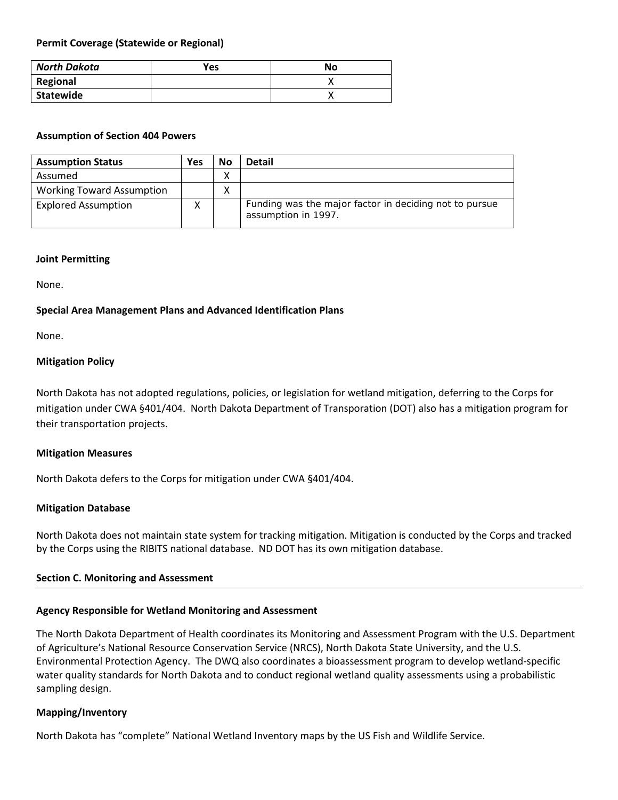## **Permit Coverage (Statewide or Regional)**

| North Dakota | Yes | No |
|--------------|-----|----|
| Regional     |     |    |
| Statewide    |     |    |

### **Assumption of Section 404 Powers**

| <b>Assumption Status</b>         | Yes | No | Detail                                                                        |
|----------------------------------|-----|----|-------------------------------------------------------------------------------|
| Assumed                          |     | ⋏  |                                                                               |
| <b>Working Toward Assumption</b> |     | ⋏  |                                                                               |
| <b>Explored Assumption</b>       | v   |    | Funding was the major factor in deciding not to pursue<br>assumption in 1997. |

### **Joint Permitting**

None.

## **Special Area Management Plans and Advanced Identification Plans**

None.

# **Mitigation Policy**

North Dakota has not adopted regulations, policies, or legislation for wetland mitigation, deferring to the Corps for mitigation under CWA §401/404. North Dakota Department of Transporation (DOT) also has a mitigation program for their transportation projects.

## **Mitigation Measures**

North Dakota defers to the Corps for mitigation under CWA §401/404.

## **Mitigation Database**

North Dakota does not maintain state system for tracking mitigation. Mitigation is conducted by the Corps and tracked by the Corps using the RIBITS national database. ND DOT has its own mitigation database.

## <span id="page-3-0"></span>**Section C. Monitoring and Assessment**

# **Agency Responsible for Wetland Monitoring and Assessment**

The North Dakota Department of Health coordinates its Monitoring and Assessment Program with the U.S. Department of Agriculture's National Resource Conservation Service (NRCS), North Dakota State University, and the U.S. Environmental Protection Agency. The DWQ also coordinates a bioassessment program to develop wetland-specific water quality standards for North Dakota and to conduct regional wetland quality assessments using a probabilistic sampling design.

# **Mapping/Inventory**

North Dakota has "complete" National Wetland Inventory maps by the US Fish and Wildlife Service.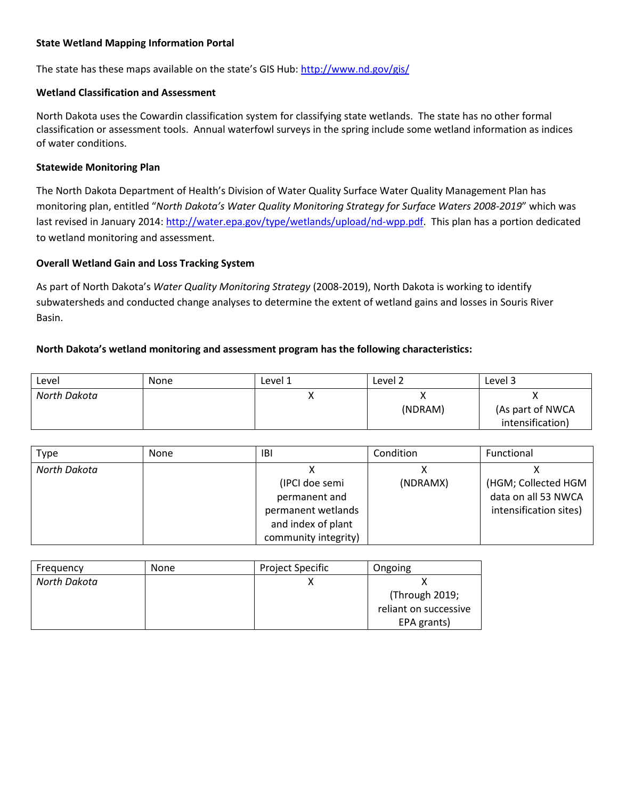## **State Wetland Mapping Information Portal**

The state has these maps available on the state's GIS Hub:<http://www.nd.gov/gis/>

## **Wetland Classification and Assessment**

North Dakota uses the Cowardin classification system for classifying state wetlands. The state has no other formal classification or assessment tools. Annual waterfowl surveys in the spring include some wetland information as indices of water conditions.

### **Statewide Monitoring Plan**

The North Dakota Department of Health's Division of Water Quality Surface Water Quality Management Plan has monitoring plan, entitled "*North Dakota's Water Quality Monitoring Strategy for Surface Waters 2008-2019*" which was last revised in January 2014[: http://water.epa.gov/type/wetlands/upload/nd-wpp.pdf.](http://water.epa.gov/type/wetlands/upload/nd-wpp.pdf) This plan has a portion dedicated to wetland monitoring and assessment.

## **Overall Wetland Gain and Loss Tracking System**

As part of North Dakota's *Water Quality Monitoring Strategy* (2008-2019), North Dakota is working to identify subwatersheds and conducted change analyses to determine the extent of wetland gains and losses in Souris River Basin.

## **North Dakota's wetland monitoring and assessment program has the following characteristics:**

| Level        | <b>None</b> | Level 1 | Level 2 | Level 3          |
|--------------|-------------|---------|---------|------------------|
| North Dakota |             |         | ́       |                  |
|              |             |         | (NDRAM) | (As part of NWCA |
|              |             |         |         | intensification) |

| Type         | None | IBI                  | Condition | Functional             |
|--------------|------|----------------------|-----------|------------------------|
| North Dakota |      |                      |           |                        |
|              |      | (IPCI doe semi       | (NDRAMX)  | (HGM; Collected HGM    |
|              |      | permanent and        |           | data on all 53 NWCA    |
|              |      | permanent wetlands   |           | intensification sites) |
|              |      | and index of plant   |           |                        |
|              |      | community integrity) |           |                        |

| Frequency    | None | <b>Project Specific</b> | Ongoing               |
|--------------|------|-------------------------|-----------------------|
| North Dakota |      |                         |                       |
|              |      |                         | (Through 2019;        |
|              |      |                         | reliant on successive |
|              |      |                         | EPA grants)           |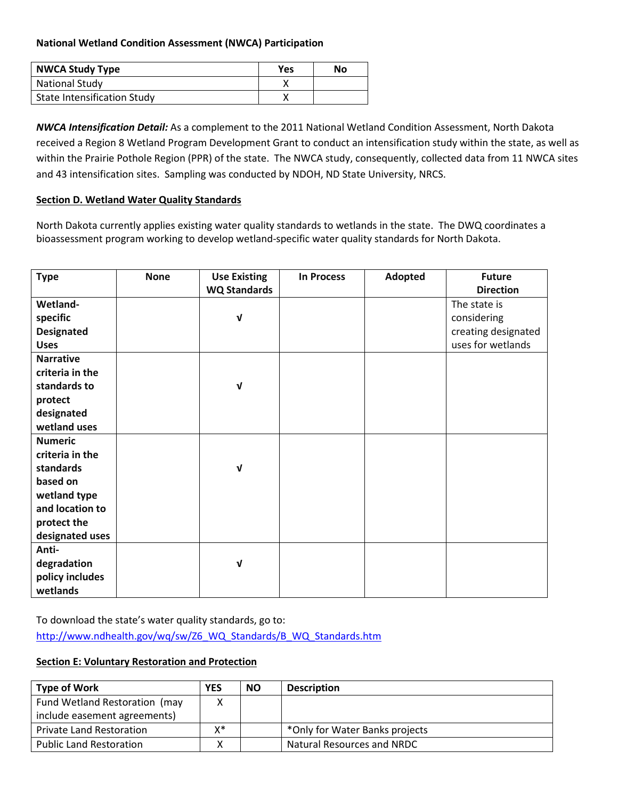# **National Wetland Condition Assessment (NWCA) Participation**

| <b>NWCA Study Type</b>             | Yes | No |
|------------------------------------|-----|----|
| <b>National Study</b>              |     |    |
| <b>State Intensification Study</b> |     |    |

*NWCA Intensification Detail:* As a complement to the 2011 National Wetland Condition Assessment, North Dakota received a Region 8 Wetland Program Development Grant to conduct an intensification study within the state, as well as within the Prairie Pothole Region (PPR) of the state. The NWCA study, consequently, collected data from 11 NWCA sites and 43 intensification sites. Sampling was conducted by NDOH, ND State University, NRCS.

## <span id="page-5-0"></span>**Section D. Wetland Water Quality Standards**

North Dakota currently applies existing water quality standards to wetlands in the state. The DWQ coordinates a bioassessment program working to develop wetland-specific water quality standards for North Dakota.

| <b>Type</b>       | <b>None</b> | <b>Use Existing</b> | <b>In Process</b> | Adopted | <b>Future</b>       |
|-------------------|-------------|---------------------|-------------------|---------|---------------------|
|                   |             | <b>WQ Standards</b> |                   |         | <b>Direction</b>    |
| Wetland-          |             |                     |                   |         | The state is        |
| specific          |             | $\sqrt{ }$          |                   |         | considering         |
| <b>Designated</b> |             |                     |                   |         | creating designated |
| <b>Uses</b>       |             |                     |                   |         | uses for wetlands   |
| <b>Narrative</b>  |             |                     |                   |         |                     |
| criteria in the   |             |                     |                   |         |                     |
| standards to      |             | V                   |                   |         |                     |
| protect           |             |                     |                   |         |                     |
| designated        |             |                     |                   |         |                     |
| wetland uses      |             |                     |                   |         |                     |
| <b>Numeric</b>    |             |                     |                   |         |                     |
| criteria in the   |             |                     |                   |         |                     |
| standards         |             | V                   |                   |         |                     |
| based on          |             |                     |                   |         |                     |
| wetland type      |             |                     |                   |         |                     |
| and location to   |             |                     |                   |         |                     |
| protect the       |             |                     |                   |         |                     |
| designated uses   |             |                     |                   |         |                     |
| Anti-             |             |                     |                   |         |                     |
| degradation       |             | V                   |                   |         |                     |
| policy includes   |             |                     |                   |         |                     |
| wetlands          |             |                     |                   |         |                     |

To download the state's water quality standards, go to: [http://www.ndhealth.gov/wq/sw/Z6\\_WQ\\_Standards/B\\_WQ\\_Standards.htm](http://www.ndhealth.gov/wq/sw/Z6_WQ_Standards/B_WQ_Standards.htm)

# <span id="page-5-1"></span>**Section E: Voluntary Restoration and Protection**

| <b>Type of Work</b>             | <b>YES</b> | <b>NO</b> | <b>Description</b>             |
|---------------------------------|------------|-----------|--------------------------------|
| Fund Wetland Restoration (may   |            |           |                                |
| include easement agreements)    |            |           |                                |
| <b>Private Land Restoration</b> | x*         |           | *Only for Water Banks projects |
| <b>Public Land Restoration</b>  |            |           | Natural Resources and NRDC     |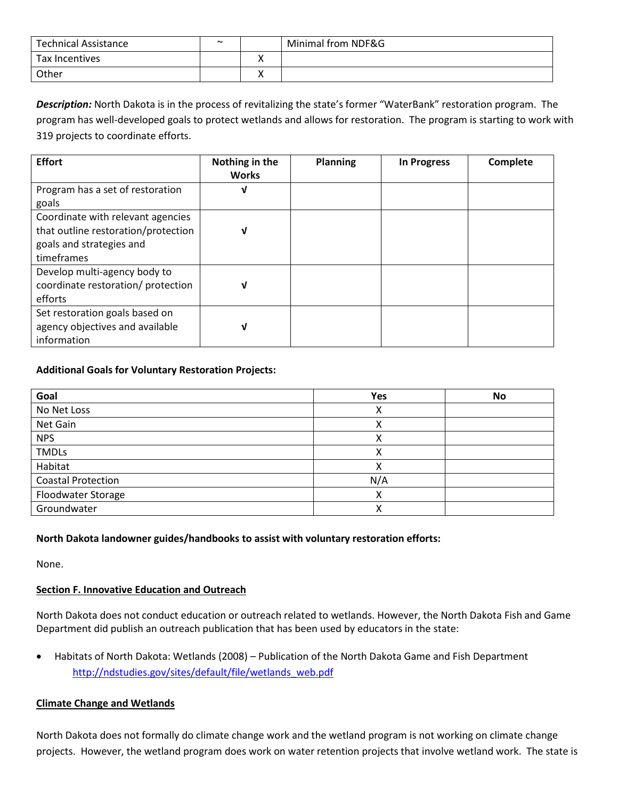| <b>Technical Assistance</b> | $\sim$ | Minimal from NDF&G |
|-----------------------------|--------|--------------------|
| Tax Incentives              |        |                    |
| Other                       |        |                    |

*Description:* North Dakota is in the process of revitalizing the state's former "WaterBank" restoration program. The program has well-developed goals to protect wetlands and allows for restoration. The program is starting to work with 319 projects to coordinate efforts.

| <b>Effort</b>                       | Nothing in the<br><b>Works</b> | <b>Planning</b> | <b>In Progress</b> | Complete |
|-------------------------------------|--------------------------------|-----------------|--------------------|----------|
| Program has a set of restoration    | ν                              |                 |                    |          |
| goals                               |                                |                 |                    |          |
| Coordinate with relevant agencies   |                                |                 |                    |          |
| that outline restoration/protection | ν                              |                 |                    |          |
| goals and strategies and            |                                |                 |                    |          |
| timeframes                          |                                |                 |                    |          |
| Develop multi-agency body to        |                                |                 |                    |          |
| coordinate restoration/ protection  | ν                              |                 |                    |          |
| efforts                             |                                |                 |                    |          |
| Set restoration goals based on      |                                |                 |                    |          |
| agency objectives and available     | ν                              |                 |                    |          |
| information                         |                                |                 |                    |          |

# **Additional Goals for Voluntary Restoration Projects:**

| Goal                      | Yes | <b>No</b> |
|---------------------------|-----|-----------|
| No Net Loss               | Λ   |           |
| Net Gain                  | Λ   |           |
| <b>NPS</b>                | ∧   |           |
| <b>TMDLs</b>              |     |           |
| Habitat                   |     |           |
| <b>Coastal Protection</b> | N/A |           |
| Floodwater Storage        |     |           |
| Groundwater               | Λ   |           |

# **North Dakota landowner guides/handbooks to assist with voluntary restoration efforts:**

None.

# <span id="page-6-0"></span>**Section F. Innovative Education and Outreach**

North Dakota does not conduct education or outreach related to wetlands. However, the North Dakota Fish and Game Department did publish an outreach publication that has been used by educators in the state:

• Habitats of North Dakota: Wetlands (2008) – Publication of the North Dakota Game and Fish Department [http://ndstudies.gov/sites/default/file/wetlands\\_web.pdf](http://ndstudies.gov/sites/default/file/wetlands_web.pdf)

## **Climate Change and Wetlands**

North Dakota does not formally do climate change work and the wetland program is not working on climate change projects. However, the wetland program does work on water retention projects that involve wetland work. The state is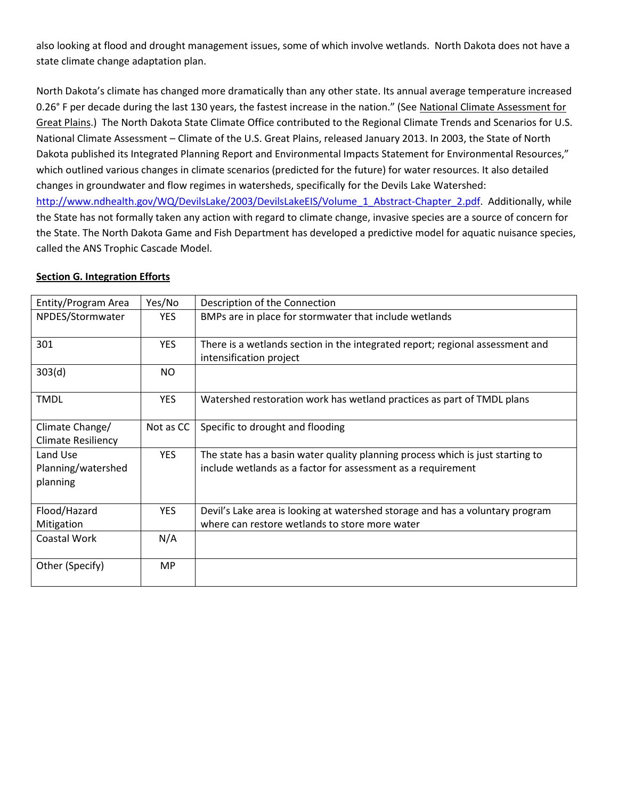also looking at flood and drought management issues, some of which involve wetlands. North Dakota does not have a state climate change adaptation plan.

North Dakota's climate has changed more dramatically than any other state. Its annual average temperature increased 0.26° F per decade during the last 130 years, the fastest increase in the nation." (See National Climate Assessment for [Great Plains.](http://www.hprcc.unl.edu/publications/files/NOAA_NESDIS_Tech_Report_142-4-Climate_of_the_U.S.%20Great_Plains.pdf)) The North Dakota State Climate Office contributed to the Regional Climate Trends and Scenarios for U.S. National Climate Assessment – Climate of the U.S. Great Plains, released January 2013. In 2003, the State of North Dakota published its Integrated Planning Report and Environmental Impacts Statement for Environmental Resources," which outlined various changes in climate scenarios (predicted for the future) for water resources. It also detailed changes in groundwater and flow regimes in watersheds, specifically for the Devils Lake Watershed: [http://www.ndhealth.gov/WQ/DevilsLake/2003/DevilsLakeEIS/Volume\\_1\\_Abstract-Chapter\\_2.pdf.](http://www.ndhealth.gov/WQ/DevilsLake/2003/DevilsLakeEIS/Volume_1_Abstract-Chapter_2.pdf) Additionally, while the State has not formally taken any action with regard to climate change, invasive species are a source of concern for the State. The North Dakota Game and Fish Department has developed a predictive model for aquatic nuisance species, called the ANS Trophic Cascade Model.

### <span id="page-7-0"></span>**Section G. Integration Efforts**

| Entity/Program Area                          | Yes/No     | Description of the Connection                                                                                                                  |  |  |  |
|----------------------------------------------|------------|------------------------------------------------------------------------------------------------------------------------------------------------|--|--|--|
| NPDES/Stormwater                             | <b>YES</b> | BMPs are in place for stormwater that include wetlands                                                                                         |  |  |  |
| 301                                          | <b>YES</b> | There is a wetlands section in the integrated report; regional assessment and<br>intensification project                                       |  |  |  |
| 303(d)                                       | NO.        |                                                                                                                                                |  |  |  |
| <b>TMDL</b>                                  | <b>YES</b> | Watershed restoration work has wetland practices as part of TMDL plans                                                                         |  |  |  |
| Climate Change/<br><b>Climate Resiliency</b> | Not as CC  | Specific to drought and flooding                                                                                                               |  |  |  |
| Land Use<br>Planning/watershed<br>planning   | <b>YES</b> | The state has a basin water quality planning process which is just starting to<br>include wetlands as a factor for assessment as a requirement |  |  |  |
| Flood/Hazard<br>Mitigation                   | <b>YES</b> | Devil's Lake area is looking at watershed storage and has a voluntary program<br>where can restore wetlands to store more water                |  |  |  |
| Coastal Work                                 | N/A        |                                                                                                                                                |  |  |  |
| Other (Specify)                              | <b>MP</b>  |                                                                                                                                                |  |  |  |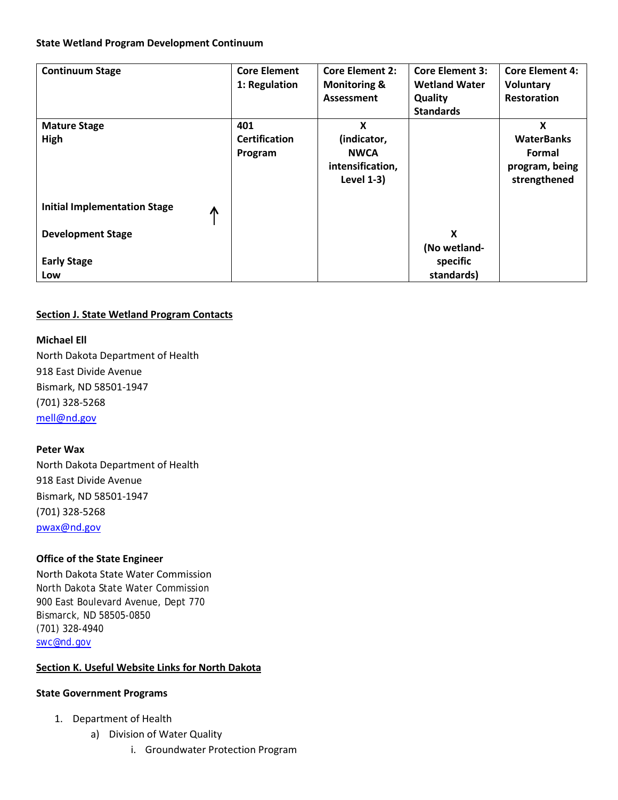### **State Wetland Program Development Continuum**

| <b>Continuum Stage</b>                   | <b>Core Element</b><br>1: Regulation | <b>Core Element 2:</b><br><b>Monitoring &amp;</b> | <b>Core Element 3:</b><br><b>Wetland Water</b> | <b>Core Element 4:</b><br><b>Voluntary</b> |
|------------------------------------------|--------------------------------------|---------------------------------------------------|------------------------------------------------|--------------------------------------------|
|                                          |                                      | Assessment                                        | Quality                                        | <b>Restoration</b>                         |
|                                          |                                      |                                                   | <b>Standards</b>                               |                                            |
| <b>Mature Stage</b>                      | 401                                  | X                                                 |                                                | X                                          |
| High                                     | <b>Certification</b>                 | (indicator,                                       |                                                | <b>WaterBanks</b>                          |
|                                          | Program                              | <b>NWCA</b>                                       |                                                | Formal                                     |
|                                          |                                      | intensification,                                  |                                                | program, being                             |
|                                          |                                      | <b>Level 1-3)</b>                                 |                                                | strengthened                               |
| <b>Initial Implementation Stage</b><br>⋀ |                                      |                                                   |                                                |                                            |
| <b>Development Stage</b>                 |                                      |                                                   | X                                              |                                            |
|                                          |                                      |                                                   | (No wetland-                                   |                                            |
| <b>Early Stage</b>                       |                                      |                                                   | specific                                       |                                            |
| Low                                      |                                      |                                                   | standards)                                     |                                            |

# **Section J. State Wetland Program Contacts**

# **Michael Ell**

North Dakota Department of Health 918 East Divide Avenue Bismark, ND 58501-1947 (701) 328-5268 [mell@nd.gov](mailto:mell@nd.gov)

## **Peter Wax**

North Dakota Department of Health 918 East Divide Avenue Bismark, ND 58501-1947 (701) 328-5268 [pwax@nd.gov](mailto:pwax@nd.gov)

# **Office of the State Engineer**

North Dakota State Water Commission North Dakota State Water Commission 900 East Boulevard Avenue, Dept 770 Bismarck, ND 58505-0850 (701) 328-494[0](mailto:swc@nd.gov) [swc@nd.gov](mailto:swc@nd.gov)

## **Section K. Useful Website Links for North Dakota**

## **State Government Programs**

- 1. Department of Health
	- a) Division of Water Quality
		- i. Groundwater Protection Program